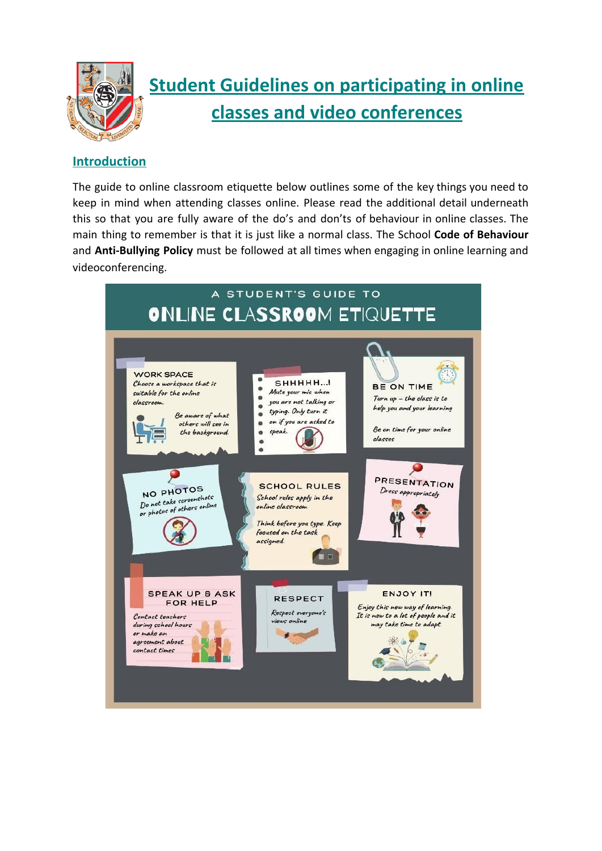

# **Student Guidelines on participating in online classes and video conferences**

# **Introduction**

The guide to online classroom etiquette below outlines some of the key things you need to keep in mind when attending classes online. Please read the additional detail underneath this so that you are fully aware of the do's and don'ts of behaviour in online classes. The main thing to remember is that it is just like a normal class. The School **Code of Behaviour** and **Anti-Bullying Policy** must be followed at all times when engaging in online learning and videoconferencing.

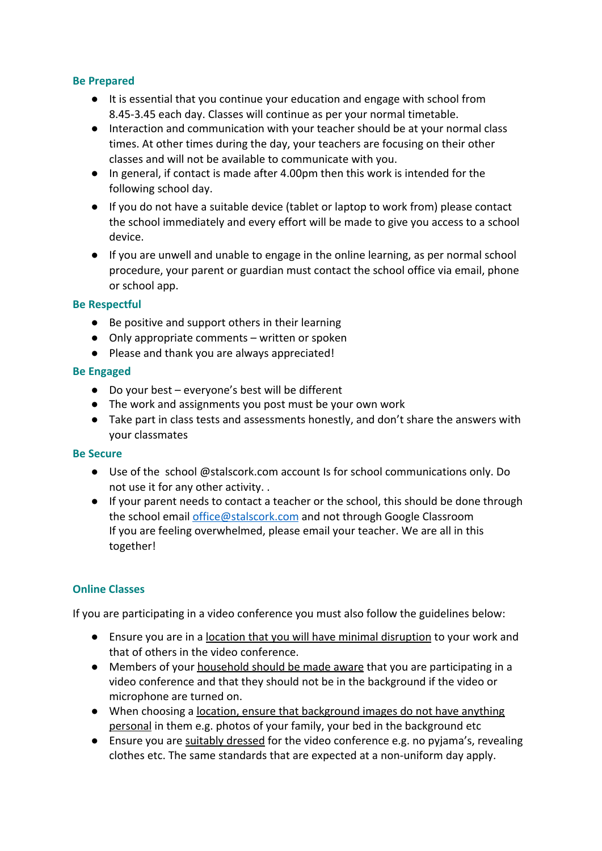### **Be Prepared**

- It is essential that you continue your education and engage with school from 8.45-3.45 each day. Classes will continue as per your normal timetable.
- Interaction and communication with your teacher should be at your normal class times. At other times during the day, your teachers are focusing on their other classes and will not be available to communicate with you.
- In general, if contact is made after 4.00pm then this work is intended for the following school day.
- If you do not have a suitable device (tablet or laptop to work from) please contact the school immediately and every effort will be made to give you access to a school device.
- If you are unwell and unable to engage in the online learning, as per normal school procedure, your parent or guardian must contact the school office via email, phone or school app.

### **Be Respectful**

- Be positive and support others in their learning
- Only appropriate comments written or spoken
- Please and thank you are always appreciated!

#### **Be Engaged**

- Do your best everyone's best will be different
- The work and assignments you post must be your own work
- Take part in class tests and assessments honestly, and don't share the answers with your classmates

#### **Be Secure**

- Use of the school @stalscork.com account Is for school communications only. Do not use it for any other activity. .
- If your parent needs to contact a teacher or the school, this should be done through the school email [office@stalscork.com](mailto:office@stalscork.com) and not through Google Classroom If you are feeling overwhelmed, please email your teacher. We are all in this together!

## **Online Classes**

If you are participating in a video conference you must also follow the guidelines below:

- Ensure you are in a location that you will have minimal disruption to your work and that of others in the video conference.
- Members of your household should be made aware that you are participating in a video conference and that they should not be in the background if the video or microphone are turned on.
- When choosing a location, ensure that background images do not have anything personal in them e.g. photos of your family, your bed in the background etc
- Ensure you are suitably dressed for the video conference e.g. no pyjama's, revealing clothes etc. The same standards that are expected at a non-uniform day apply.